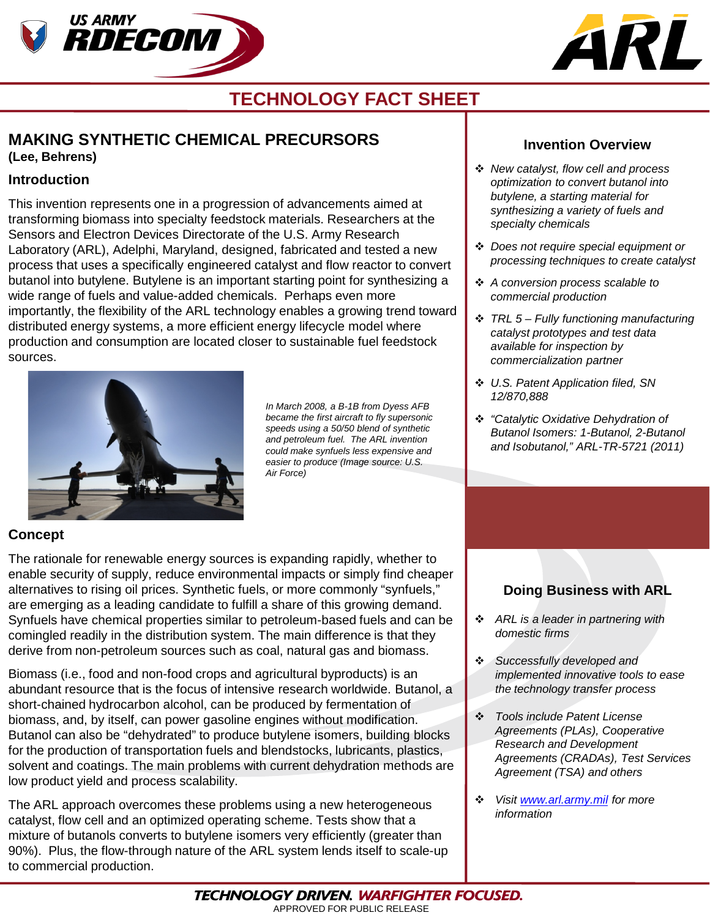



# **TECHNOLOGY FACT SHEET**

# **MAKING SYNTHETIC CHEMICAL PRECURSORS (Lee, Behrens)**

### **Introduction**

This invention represents one in a progression of advancements aimed at transforming biomass into specialty feedstock materials. Researchers at the Sensors and Electron Devices Directorate of the U.S. Army Research Laboratory (ARL), Adelphi, Maryland, designed, fabricated and tested a new process that uses a specifically engineered catalyst and flow reactor to convert butanol into butylene. Butylene is an important starting point for synthesizing a wide range of fuels and value-added chemicals. Perhaps even more importantly, the flexibility of the ARL technology enables a growing trend toward distributed energy systems, a more efficient energy lifecycle model where production and consumption are located closer to sustainable fuel feedstock sources.



*In March 2008, a B-1B from Dyess AFB became the first aircraft to fly supersonic speeds using a 50/50 blend of synthetic and petroleum fuel. The ARL invention could make synfuels less expensive and easier to produce (Image source: U.S. Air Force)*

### **Invention Overview**

- *New catalyst, flow cell and process optimization to convert butanol into butylene, a starting material for synthesizing a variety of fuels and specialty chemicals*
- *Does not require special equipment or processing techniques to create catalyst*
- *A conversion process scalable to commercial production*
- *TRL 5 – Fully functioning manufacturing catalyst prototypes and test data available for inspection by commercialization partner*
- *U.S. Patent Application filed, SN 12/870,888*
- *"Catalytic Oxidative Dehydration of Butanol Isomers: 1-Butanol, 2-Butanol and Isobutanol," ARL-TR-5721 (2011)*

## **Concept**

The rationale for renewable energy sources is expanding rapidly, whether to enable security of supply, reduce environmental impacts or simply find cheaper alternatives to rising oil prices. Synthetic fuels, or more commonly "synfuels," are emerging as a leading candidate to fulfill a share of this growing demand. Synfuels have chemical properties similar to petroleum-based fuels and can be comingled readily in the distribution system. The main difference is that they derive from non-petroleum sources such as coal, natural gas and biomass.

Biomass (i.e., food and non-food crops and agricultural byproducts) is an abundant resource that is the focus of intensive research worldwide. Butanol, a short-chained hydrocarbon alcohol, can be produced by fermentation of biomass, and, by itself, can power gasoline engines without modification. Butanol can also be "dehydrated" to produce butylene isomers, building blocks for the production of transportation fuels and blendstocks, lubricants, plastics, solvent and coatings. The main problems with current dehydration methods are low product yield and process scalability.

The ARL approach overcomes these problems using a new heterogeneous catalyst, flow cell and an optimized operating scheme. Tests show that a mixture of butanols converts to butylene isomers very efficiently (greater than 90%). Plus, the flow-through nature of the ARL system lends itself to scale-up to commercial production.

# **Doing Business with ARL**

- *ARL is a leader in partnering with domestic firms*
- *Successfully developed and implemented innovative tools to ease the technology transfer process*
- *Tools include Patent License Agreements (PLAs), Cooperative Research and Development Agreements (CRADAs), Test Services Agreement (TSA) and others*
- *Visit [www.arl.army.mil](http://www.arl.army.mil/) for more information*